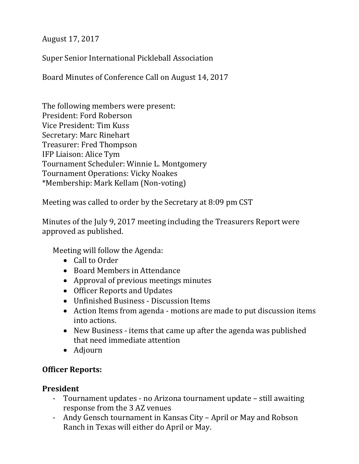August 17, 2017

Super Senior International Pickleball Association

Board Minutes of Conference Call on August 14, 2017

The following members were present: President: Ford Roberson Vice President: Tim Kuss Secretary: Marc Rinehart Treasurer: Fred Thompson IFP Liaison: Alice Tym Tournament Scheduler: Winnie L. Montgomery Tournament Operations: Vicky Noakes \*Membership: Mark Kellam (Non-voting)

Meeting was called to order by the Secretary at 8:09 pm CST

Minutes of the July 9, 2017 meeting including the Treasurers Report were approved as published.

Meeting will follow the Agenda:

- Call to Order
- Board Members in Attendance
- Approval of previous meetings minutes
- Officer Reports and Updates
- Unfinished Business Discussion Items
- Action Items from agenda motions are made to put discussion items into actions.
- New Business items that came up after the agenda was published that need immediate attention
- Adjourn

## **Officer Reports:**

## **President**

- Tournament updates no Arizona tournament update still awaiting response from the 3 AZ venues
- Andy Gensch tournament in Kansas City April or May and Robson Ranch in Texas will either do April or May.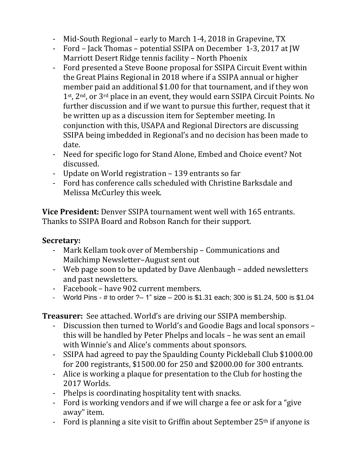- Mid-South Regional early to March 1-4, 2018 in Grapevine, TX
- Ford Jack Thomas potential SSIPA on December 1-3, 2017 at JW Marriott Desert Ridge tennis facility – North Phoenix
- Ford presented a Steve Boone proposal for SSIPA Circuit Event within the Great Plains Regional in 2018 where if a SSIPA annual or higher member paid an additional \$1.00 for that tournament, and if they won 1st, 2nd, or 3rd place in an event, they would earn SSIPA Circuit Points. No further discussion and if we want to pursue this further, request that it be written up as a discussion item for September meeting. In conjunction with this, USAPA and Regional Directors are discussing SSIPA being imbedded in Regional's and no decision has been made to date.
- Need for specific logo for Stand Alone, Embed and Choice event? Not discussed.
- Update on World registration 139 entrants so far
- Ford has conference calls scheduled with Christine Barksdale and Melissa McCurley this week.

**Vice President:** Denver SSIPA tournament went well with 165 entrants. Thanks to SSIPA Board and Robson Ranch for their support.

## **Secretary:**

- Mark Kellam took over of Membership Communications and Mailchimp Newsletter–August sent out
- Web page soon to be updated by Dave Alenbaugh added newsletters and past newsletters.
- Facebook have 902 current members.
- World Pins # to order ?– 1" size 200 is \$1.31 each; 300 is \$1.24, 500 is \$1.04

**Treasurer:** See attached. World's are driving our SSIPA membership.

- Discussion then turned to World's and Goodie Bags and local sponsors this will be handled by Peter Phelps and locals – he was sent an email with Winnie's and Alice's comments about sponsors.
- SSIPA had agreed to pay the Spaulding County Pickleball Club \$1000.00 for 200 registrants, \$1500.00 for 250 and \$2000.00 for 300 entrants.
- Alice is working a plaque for presentation to the Club for hosting the 2017 Worlds.
- Phelps is coordinating hospitality tent with snacks.
- Ford is working vendors and if we will charge a fee or ask for a "give away" item.
- Ford is planning a site visit to Griffin about September  $25<sup>th</sup>$  if anyone is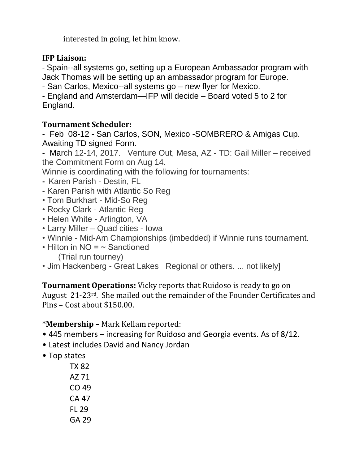interested in going, let him know.

# **IFP Liaison:**

- Spain--all systems go, setting up a European Ambassador program with Jack Thomas will be setting up an ambassador program for Europe.

- San Carlos, Mexico--all systems go – new flyer for Mexico.

- England and Amsterdam—IFP will decide – Board voted 5 to 2 for England.

# **Tournament Scheduler:**

- Feb 08-12 - San Carlos, SON, Mexico -SOMBRERO & Amigas Cup. Awaiting TD signed Form.

- March 12-14, 2017. Venture Out, Mesa, AZ - TD: Gail Miller – received the Commitment Form on Aug 14.

Winnie is coordinating with the following for tournaments:

- Karen Parish Destin, FL
- Karen Parish with Atlantic So Reg
- Tom Burkhart Mid-So Reg
- Rocky Clark Atlantic Reg
- Helen White Arlington, VA
- Larry Miller Quad cities Iowa
- Winnie Mid-Am Championships (imbedded) if Winnie runs tournament.
- $\cdot$  Hilton in NO =  $\sim$  Sanctioned (Trial run tourney)
- Jim Hackenberg Great Lakes Regional or others. ... not likely]

**Tournament Operations:** Vicky reports that Ruidoso is ready to go on August 21-23rd. She mailed out the remainder of the Founder Certificates and Pins – Cost about \$150.00.

**\*Membership –** Mark Kellam reported:

- 445 members increasing for Ruidoso and Georgia events. As of 8/12.
- Latest includes David and Nancy Jordan
- Top states

TX 82 AZ 71 CO 49 CA 47 FL 29 GA 29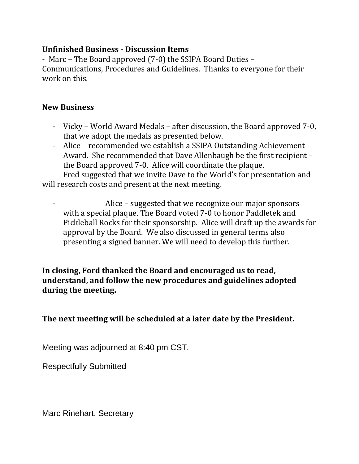#### **Unfinished Business - Discussion Items**

- Marc – The Board approved (7-0) the SSIPA Board Duties – Communications, Procedures and Guidelines. Thanks to everyone for their work on this.

#### **New Business**

- Vicky World Award Medals after discussion, the Board approved 7-0, that we adopt the medals as presented below.
- Alice recommended we establish a SSIPA Outstanding Achievement Award. She recommended that Dave Allenbaugh be the first recipient – the Board approved 7-0. Alice will coordinate the plaque.

Fred suggested that we invite Dave to the World's for presentation and will research costs and present at the next meeting.

Alice – suggested that we recognize our major sponsors with a special plaque. The Board voted 7-0 to honor Paddletek and Pickleball Rocks for their sponsorship. Alice will draft up the awards for approval by the Board. We also discussed in general terms also presenting a signed banner. We will need to develop this further.

**In closing, Ford thanked the Board and encouraged us to read, understand, and follow the new procedures and guidelines adopted during the meeting.**

**The next meeting will be scheduled at a later date by the President.**

Meeting was adjourned at 8:40 pm CST.

Respectfully Submitted

Marc Rinehart, Secretary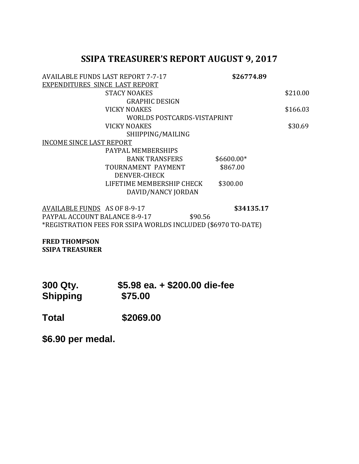# **SSIPA TREASURER'S REPORT AUGUST 9, 2017**

|                                                       | <b>AVAILABLE FUNDS LAST REPORT 7-7-17</b> | \$26774.89  |          |
|-------------------------------------------------------|-------------------------------------------|-------------|----------|
| EXPENDITURES SINCE LAST REPORT                        |                                           |             |          |
|                                                       | <b>STACY NOAKES</b>                       |             | \$210.00 |
|                                                       | <b>GRAPHIC DESIGN</b>                     |             |          |
|                                                       | <b>VICKY NOAKES</b>                       |             | \$166.03 |
|                                                       | WORLDS POSTCARDS-VISTAPRINT               |             |          |
|                                                       | <b>VICKY NOAKES</b>                       |             | \$30.69  |
|                                                       | SHIIPPING/MAILING                         |             |          |
| <b>INCOME SINCE LAST REPORT</b>                       |                                           |             |          |
|                                                       | PAYPAL MEMBERSHIPS                        |             |          |
|                                                       | <b>BANK TRANSFERS</b>                     | $$6600.00*$ |          |
|                                                       | TOURNAMENT PAYMENT                        | \$867.00    |          |
|                                                       | DENVER-CHECK                              |             |          |
|                                                       | LIFETIME MEMBERSHIP CHECK                 | \$300.00    |          |
|                                                       | DAVID/NANCY JORDAN                        |             |          |
| $\lambda$ VAILADLE FIINDE $\lambda$ COEOO $\lambda$ 7 |                                           |             |          |

AVAILABLE FUNDS AS OF 8-9-17 **\$34135.17** PAYPAL ACCOUNT BALANCE 8-9-17 \$90.56 \*REGISTRATION FEES FOR SSIPA WORLDS INCLUDED (\$6970 TO-DATE)

**FRED THOMPSON SSIPA TREASURER**

| 300 Qty.        | \$5.98 ea. + \$200.00 die-fee |
|-----------------|-------------------------------|
| <b>Shipping</b> | \$75.00                       |

**Total \$2069.00**

**\$6.90 per medal.**